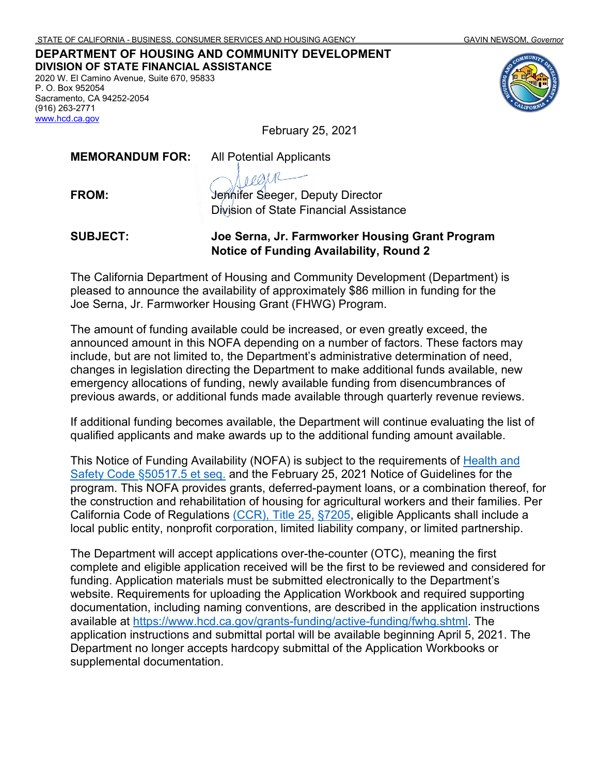#### **DEPARTMENT OF HOUSING AND COMMUNITY DEVELOPMENT DIVISION OF STATE FINANCIAL ASSISTANCE**

2020 W. El Camino Avenue, Suite 670, 95833 P. O. Box 952054 Sacramento, CA 94252-2054 (916) 263-2771 [www.hcd.ca.gov](http://www.hcd.ca.gov/)

February 25, 2021

**MEMORANDUM FOR:** All Potential Applicants

**FROM:** Jennifer Seeger, Deputy Director Division of State Financial Assistance

#### **SUBJECT: Joe Serna, Jr. Farmworker Housing Grant Program Notice of Funding Availability, Round 2**

The California Department of Housing and Community Development (Department) is pleased to announce the availability of approximately \$86 million in funding for the Joe Serna, Jr. Farmworker Housing Grant (FHWG) Program.

The amount of funding available could be increased, or even greatly exceed, the announced amount in this NOFA depending on a number of factors. These factors may include, but are not limited to, the Department's administrative determination of need, changes in legislation directing the Department to make additional funds available, new emergency allocations of funding, newly available funding from disencumbrances of previous awards, or additional funds made available through quarterly revenue reviews.

If additional funding becomes available, the Department will continue evaluating the list of qualified applicants and make awards up to the additional funding amount available.

This Notice of Funding Availability (NOFA) is subject to the requirements of [Health and](https://leginfo.legislature.ca.gov/faces/codes_displayText.xhtml?lawCode=HSC&division=31.&title=&part=2.&chapter=3.2.&article=)  Safety Code §50517.5 et seq. and the February 25, 2021 Notice of Guidelines for the program. This NOFA provides grants, deferred-payment loans, or a combination thereof, for the construction and rehabilitation of housing for agricultural workers and their families. Per California Code of Regulations [\(CCR\), Title 25,](https://govt.westlaw.com/calregs/Document/IDD9A4570D45411DEB97CF67CD0B99467?viewType=FullText&originationContext=documenttoc&transitionType=CategoryPageItem&contextData=(sc.Default)) §7205, eligible Applicants shall include a local public entity, nonprofit corporation, limited liability company, or limited partnership.

The Department will accept applications over-the-counter (OTC), meaning the first complete and eligible application received will be the first to be reviewed and considered for funding. Application materials must be submitted electronically to the Department's website. Requirements for uploading the Application Workbook and required supporting documentation, including naming conventions, are described in the application instructions available at [https://www.hcd.ca.gov/grants-funding/active-funding/fwhg.shtml.](https://www.hcd.ca.gov/grants-funding/active-funding/fwhg.shtml) The application instructions and submittal portal will be available beginning April 5, 2021. The Department no longer accepts hardcopy submittal of the Application Workbooks or supplemental documentation.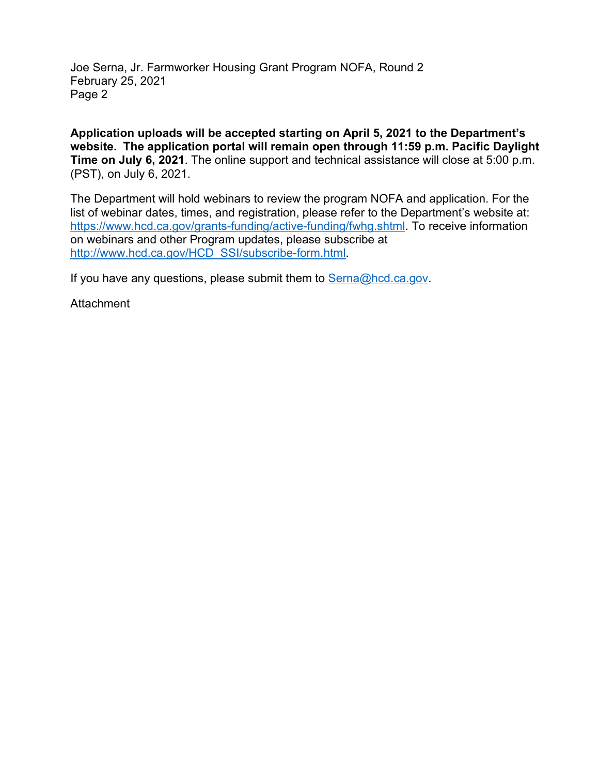Joe Serna, Jr. Farmworker Housing Grant Program NOFA, Round 2 February 25, 2021 Page 2

**Application uploads will be accepted starting on April 5, 2021 to the Department's website. The application portal will remain open through 11:59 p.m. Pacific Daylight Time on July 6, 2021**. The online support and technical assistance will close at 5:00 p.m. (PST), on July 6, 2021.

The Department will hold webinars to review the program NOFA and application. For the list of webinar dates, times, and registration, please refer to the Department's website at: [https://www.hcd.ca.gov/grants-funding/active-funding/fwhg.shtml.](https://www.hcd.ca.gov/grants-funding/active-funding/fwhg.shtml) To receive information on webinars and other Program updates, please subscribe at [http://www.hcd.ca.gov/HCD\\_SSI/subscribe-form.html.](http://www.hcd.ca.gov/HCD_SSI/subscribe-form.html)

If you have any questions, please submit them t[o Serna@hcd.ca.gov.](mailto:Serna@hcd.ca.gov)

**Attachment**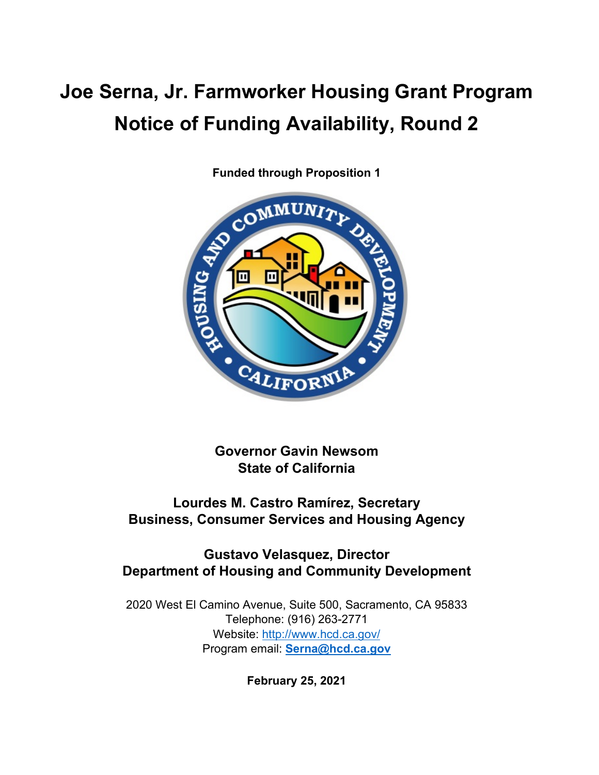# **Joe Serna, Jr. Farmworker Housing Grant Program Notice of Funding Availability, Round 2**



**Funded through Proposition 1**

**Governor Gavin Newsom State of California**

# **Lourdes M. Castro Ramírez, Secretary Business, Consumer Services and Housing Agency**

# **Gustavo Velasquez, Director Department of Housing and Community Development**

2020 West El Camino Avenue, Suite 500, Sacramento, CA 95833 Telephone: (916) 263-2771 Website:<http://www.hcd.ca.gov/> Program email: **[Serna@hcd.ca.gov](mailto:Serna@hcd.ca.gov)**

**February 25, 2021**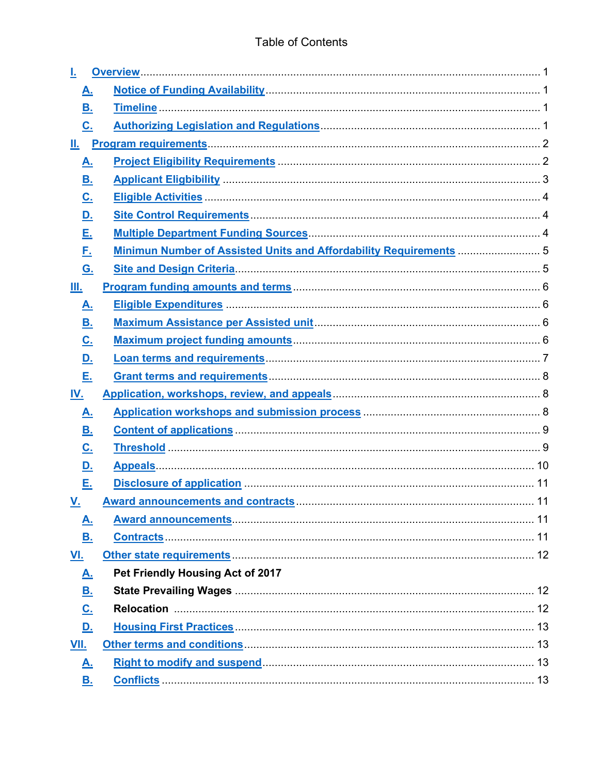| А.                         |                                                                    |  |
|----------------------------|--------------------------------------------------------------------|--|
| В.                         |                                                                    |  |
| $C_{1}$                    |                                                                    |  |
|                            |                                                                    |  |
| <u>A.</u>                  |                                                                    |  |
| <u>B.</u>                  |                                                                    |  |
| $\underline{\mathbf{C}}$ . |                                                                    |  |
| <u>D.</u>                  |                                                                    |  |
| <u>Е.</u>                  |                                                                    |  |
| <u>Е.</u>                  | Minimun Number of Assisted Units and Affordability Requirements  5 |  |
| <u>G.</u>                  |                                                                    |  |
| Ш.                         |                                                                    |  |
| <u>A.</u>                  |                                                                    |  |
| <u>B.</u>                  |                                                                    |  |
| <u>C.</u>                  |                                                                    |  |
| <u>D.</u>                  |                                                                    |  |
| <u>Е.</u>                  |                                                                    |  |
| <u>IV.</u>                 |                                                                    |  |
| <u>A.</u>                  |                                                                    |  |
| <u>B.</u>                  |                                                                    |  |
| <u>C.</u>                  |                                                                    |  |
| <u>D.</u>                  |                                                                    |  |
| Е.                         |                                                                    |  |
| <u>V.</u>                  | <b>Award announcements and contracts.</b>                          |  |
| <u>A.</u>                  |                                                                    |  |
| В.                         |                                                                    |  |
| <u>VI.</u>                 |                                                                    |  |
| <u>A.</u>                  | Pet Friendly Housing Act of 2017                                   |  |
| <u>B.</u>                  |                                                                    |  |
| <u>C.</u>                  |                                                                    |  |
| <u>D.</u>                  |                                                                    |  |
| <b>VII.</b>                |                                                                    |  |
| <u>A.</u>                  |                                                                    |  |
| <u>B.</u>                  |                                                                    |  |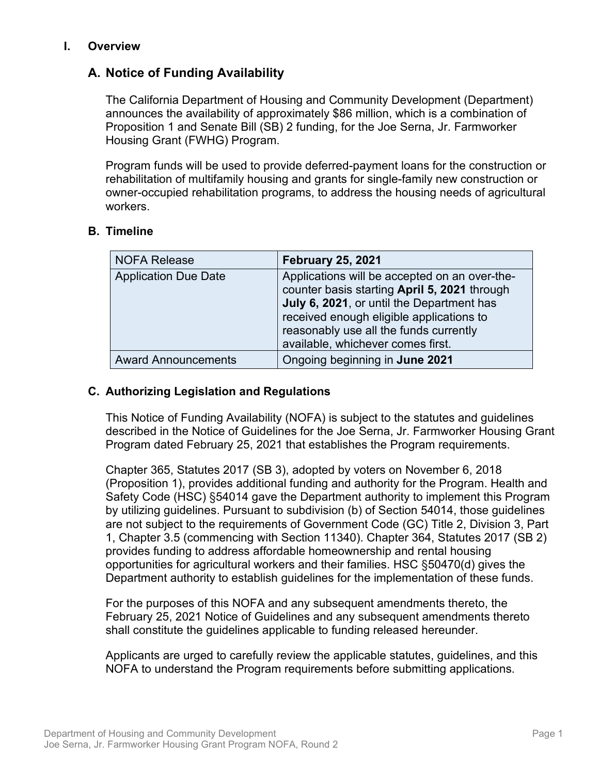# <span id="page-4-0"></span>**I. Overview**

# <span id="page-4-1"></span>**A. Notice of Funding Availability**

The California Department of Housing and Community Development (Department) announces the availability of approximately \$86 million, which is a combination of Proposition 1 and Senate Bill (SB) 2 funding, for the Joe Serna, Jr. Farmworker Housing Grant (FWHG) Program.

Program funds will be used to provide deferred-payment loans for the construction or rehabilitation of multifamily housing and grants for single-family new construction or owner-occupied rehabilitation programs, to address the housing needs of agricultural workers.

# <span id="page-4-2"></span>**B. Timeline**

| <b>NOFA Release</b>         | <b>February 25, 2021</b>                                                                                                                                                                                                                                              |  |  |
|-----------------------------|-----------------------------------------------------------------------------------------------------------------------------------------------------------------------------------------------------------------------------------------------------------------------|--|--|
| <b>Application Due Date</b> | Applications will be accepted on an over-the-<br>counter basis starting April 5, 2021 through<br>July 6, 2021, or until the Department has<br>received enough eligible applications to<br>reasonably use all the funds currently<br>available, whichever comes first. |  |  |
| <b>Award Announcements</b>  | Ongoing beginning in June 2021                                                                                                                                                                                                                                        |  |  |

# <span id="page-4-3"></span>**C. Authorizing Legislation and Regulations**

This Notice of Funding Availability (NOFA) is subject to the statutes and guidelines described in the Notice of Guidelines for the Joe Serna, Jr. Farmworker Housing Grant Program dated February 25, 2021 that establishes the Program requirements.

Chapter 365, Statutes 2017 (SB 3), adopted by voters on November 6, 2018 (Proposition 1), provides additional funding and authority for the Program. Health and Safety Code (HSC) §54014 gave the Department authority to implement this Program by utilizing guidelines. Pursuant to subdivision (b) of Section 54014, those guidelines are not subject to the requirements of Government Code (GC) Title 2, Division 3, Part 1, Chapter 3.5 (commencing with Section 11340). Chapter 364, Statutes 2017 (SB 2) provides funding to address affordable homeownership and rental housing opportunities for agricultural workers and their families. HSC §50470(d) gives the Department authority to establish guidelines for the implementation of these funds.

For the purposes of this NOFA and any subsequent amendments thereto, the February 25, 2021 Notice of Guidelines and any subsequent amendments thereto shall constitute the guidelines applicable to funding released hereunder.

Applicants are urged to carefully review the applicable statutes, guidelines, and this NOFA to understand the Program requirements before submitting applications.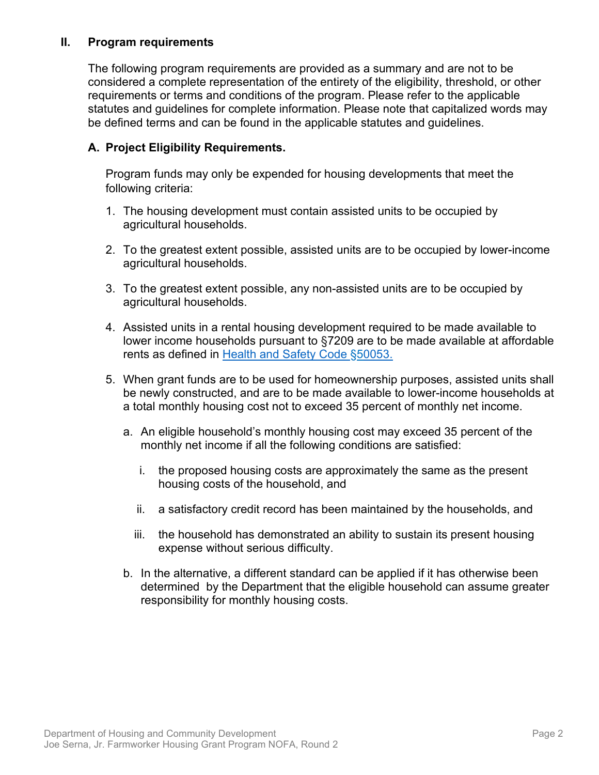### <span id="page-5-0"></span>**II. Program requirements**

The following program requirements are provided as a summary and are not to be considered a complete representation of the entirety of the eligibility, threshold, or other requirements or terms and conditions of the program. Please refer to the applicable statutes and guidelines for complete information. Please note that capitalized words may be defined terms and can be found in the applicable statutes and guidelines.

#### **A. Project Eligibility Requirements.**

Program funds may only be expended for housing developments that meet the following criteria:

- 1. The housing development must contain assisted units to be occupied by agricultural households.
- 2. To the greatest extent possible, assisted units are to be occupied by lower-income agricultural households.
- 3. To the greatest extent possible, any non-assisted units are to be occupied by agricultural households.
- 4. Assisted units in a rental housing development required to be made available to lower income households pursuant to §7209 are to be made available at affordable rents as defined in [Health and Safety Code](http://leginfo.legislature.ca.gov/faces/codes_displaySection.xhtml?sectionNum=50053&lawCode=HSC) §50053.
- 5. When grant funds are to be used for homeownership purposes, assisted units shall be newly constructed, and are to be made available to lower-income households at a total monthly housing cost not to exceed 35 percent of monthly net income.
	- a. An eligible household's monthly housing cost may exceed 35 percent of the monthly net income if all the following conditions are satisfied:
		- i. the proposed housing costs are approximately the same as the present housing costs of the household, and
		- ii. a satisfactory credit record has been maintained by the households, and
		- iii. the household has demonstrated an ability to sustain its present housing expense without serious difficulty.
	- b. In the alternative, a different standard can be applied if it has otherwise been determined by the Department that the eligible household can assume greater responsibility for monthly housing costs.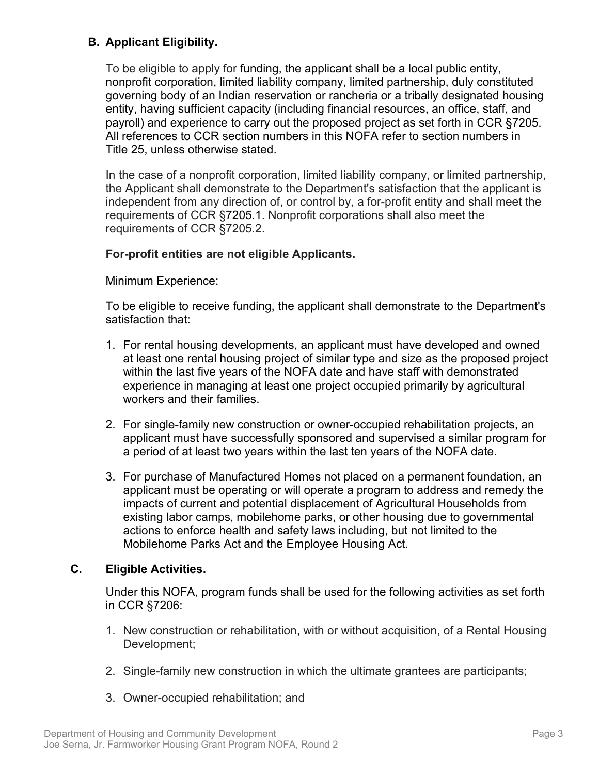# <span id="page-6-0"></span>**B. Applicant Eligibility.**

To be eligible to apply for funding, the applicant shall be a local public entity, nonprofit corporation, limited liability company, limited partnership, duly constituted governing body of an Indian reservation or rancheria or a tribally designated housing entity, having sufficient capacity (including financial resources, an office, staff, and payroll) and experience to carry out the proposed project as set forth in CCR §7205. All references to CCR section numbers in this NOFA refer to section numbers in Title 25, unless otherwise stated.

In the case of a nonprofit corporation, limited liability company, or limited partnership, the Applicant shall demonstrate to the Department's satisfaction that the applicant is independent from any direction of, or control by, a for-profit entity and shall meet the requirements of CCR §7205.1. Nonprofit corporations shall also meet the requirements of CCR §7205.2.

# **For-profit entities are not eligible Applicants.**

Minimum Experience:

To be eligible to receive funding, the applicant shall demonstrate to the Department's satisfaction that:

- 1. For rental housing developments, an applicant must have developed and owned at least one rental housing project of similar type and size as the proposed project within the last five years of the NOFA date and have staff with demonstrated experience in managing at least one project occupied primarily by agricultural workers and their families.
- 2. For single-family new construction or owner-occupied rehabilitation projects, an applicant must have successfully sponsored and supervised a similar program for a period of at least two years within the last ten years of the NOFA date.
- 3. For purchase of Manufactured Homes not placed on a permanent foundation, an applicant must be operating or will operate a program to address and remedy the impacts of current and potential displacement of Agricultural Households from existing labor camps, mobilehome parks, or other housing due to governmental actions to enforce health and safety laws including, but not limited to the Mobilehome Parks Act and the Employee Housing Act.

# <span id="page-6-1"></span>**C. Eligible Activities.**

Under this NOFA, program funds shall be used for the following activities as set forth in CCR §7206:

- 1. New construction or rehabilitation, with or without acquisition, of a Rental Housing Development;
- 2. Single-family new construction in which the ultimate grantees are participants;
- 3. Owner-occupied rehabilitation; and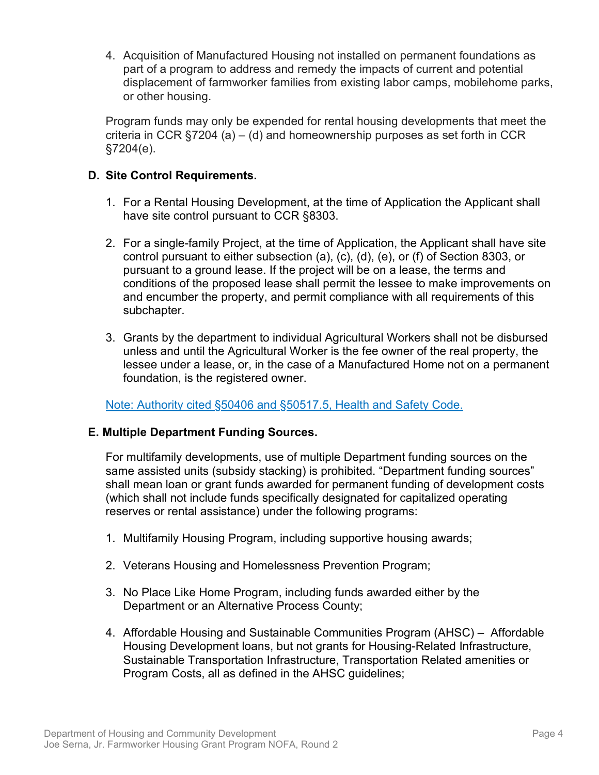4. Acquisition of Manufactured Housing not installed on permanent foundations as part of a program to address and remedy the impacts of current and potential displacement of farmworker families from existing labor camps, mobilehome parks, or other housing.

Program funds may only be expended for rental housing developments that meet the criteria in CCR §7204 (a) – (d) and homeownership purposes as set forth in CCR §7204(e).

# **D. Site Control Requirements.**

- 1. For a Rental Housing Development, at the time of Application the Applicant shall have site control pursuant to CCR §8303.
- 2. For a single-family Project, at the time of Application, the Applicant shall have site control pursuant to either subsection (a), (c), (d), (e), or (f) of Section 8303, or pursuant to a ground lease. If the project will be on a lease, the terms and conditions of the proposed lease shall permit the lessee to make improvements on and encumber the property, and permit compliance with all requirements of this subchapter.
- 3. Grants by the department to individual Agricultural Workers shall not be disbursed unless and until the Agricultural Worker is the fee owner of the real property, the lessee under a lease, or, in the case of a Manufactured Home not on a permanent foundation, is the registered owner.

[Note: Authority cited §50406 and §50517.5, Health and Safety Code.](http://leginfo.legislature.ca.gov/faces/home.xhtml)

# **E. Multiple Department Funding Sources.**

For multifamily developments, use of multiple Department funding sources on the same assisted units (subsidy stacking) is prohibited. "Department funding sources" shall mean loan or grant funds awarded for permanent funding of development costs (which shall not include funds specifically designated for capitalized operating reserves or rental assistance) under the following programs:

- 1. Multifamily Housing Program, including supportive housing awards;
- 2. Veterans Housing and Homelessness Prevention Program;
- 3. No Place Like Home Program, including funds awarded either by the Department or an Alternative Process County;
- 4. Affordable Housing and Sustainable Communities Program (AHSC) Affordable Housing Development loans, but not grants for Housing-Related Infrastructure, Sustainable Transportation Infrastructure, Transportation Related amenities or Program Costs, all as defined in the AHSC guidelines;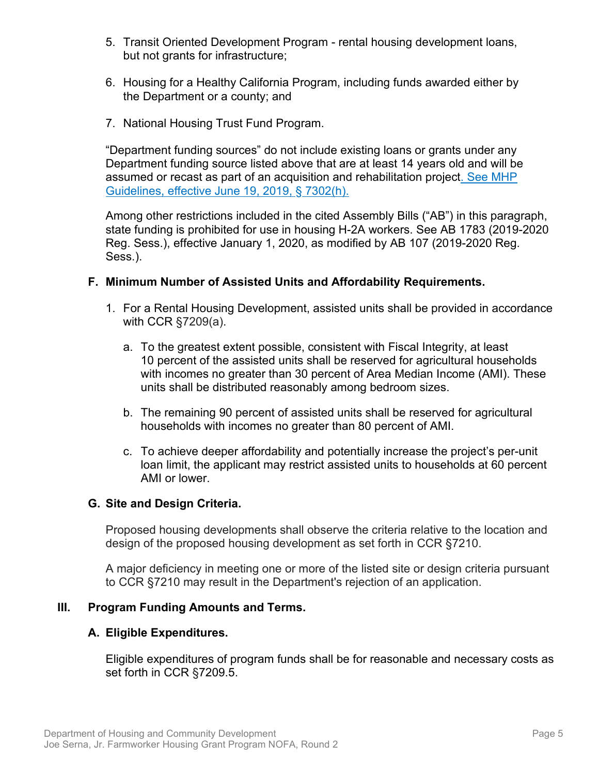- 5. Transit Oriented Development Program rental housing development loans, but not grants for infrastructure;
- 6. Housing for a Healthy California Program, including funds awarded either by the Department or a county; and
- 7. National Housing Trust Fund Program.

"Department funding sources" do not include existing loans or grants under any Department funding source listed above that are at least 14 years old and will be assumed or recast as part of an acquisition and rehabilitation project. See MHP Guidelines, effective June 19, 2019, § 7302(h).

Among other restrictions included in the cited Assembly Bills ("AB") in this paragraph, state funding is prohibited for use in housing H-2A workers. See AB 1783 (2019-2020 Reg. Sess.), effective January 1, 2020, as modified by AB 107 (2019-2020 Reg. Sess.).

#### <span id="page-8-0"></span>**F. Minimum Number of Assisted Units and Affordability Requirements.**

- 1. For a Rental Housing Development, assisted units shall be provided in accordance with CCR §7209(a).
	- a. To the greatest extent possible, consistent with Fiscal Integrity, at least 10 percent of the assisted units shall be reserved for agricultural households with incomes no greater than 30 percent of Area Median Income (AMI). These units shall be distributed reasonably among bedroom sizes.
	- b. The remaining 90 percent of assisted units shall be reserved for agricultural households with incomes no greater than 80 percent of AMI.
	- c. To achieve deeper affordability and potentially increase the project's per-unit loan limit, the applicant may restrict assisted units to households at 60 percent AMI or lower.

#### <span id="page-8-1"></span>**G. Site and Design Criteria.**

Proposed housing developments shall observe the criteria relative to the location and design of the proposed housing development as set forth in CCR §7210.

A major deficiency in meeting one or more of the listed site or design criteria pursuant to CCR §7210 may result in the Department's rejection of an application.

#### <span id="page-8-2"></span>**III. Program Funding Amounts and Terms.**

#### <span id="page-8-3"></span>**A. Eligible Expenditures.**

Eligible expenditures of program funds shall be for reasonable and necessary costs as set forth in CCR §7209.5.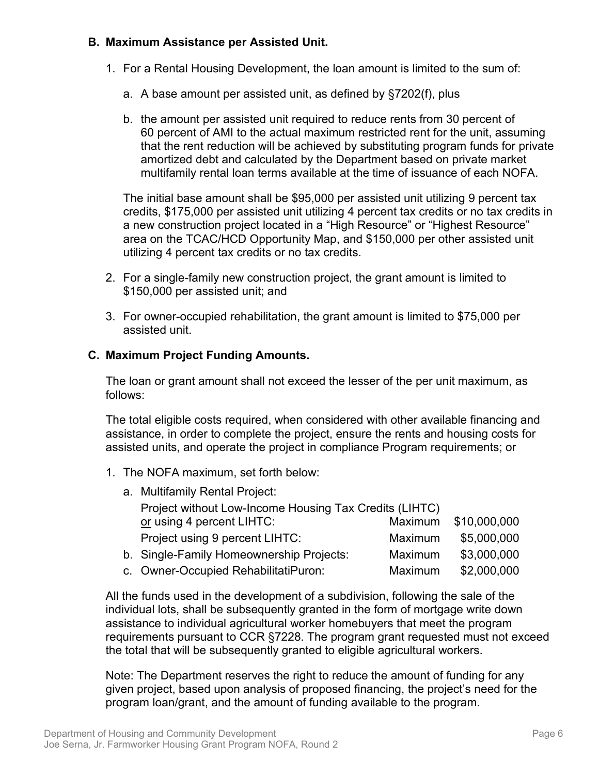# <span id="page-9-0"></span>**B. Maximum Assistance per Assisted Unit.**

- 1. For a Rental Housing Development, the loan amount is limited to the sum of:
	- a. A base amount per assisted unit, as defined by §7202(f), plus
	- b. the amount per assisted unit required to reduce rents from 30 percent of 60 percent of AMI to the actual maximum restricted rent for the unit, assuming that the rent reduction will be achieved by substituting program funds for private amortized debt and calculated by the Department based on private market multifamily rental loan terms available at the time of issuance of each NOFA.

The initial base amount shall be \$95,000 per assisted unit utilizing 9 percent tax credits, \$175,000 per assisted unit utilizing 4 percent tax credits or no tax credits in a new construction project located in a "High Resource" or "Highest Resource" area on the TCAC/HCD Opportunity Map, and \$150,000 per other assisted unit utilizing 4 percent tax credits or no tax credits.

- 2. For a single-family new construction project, the grant amount is limited to \$150,000 per assisted unit; and
- 3. For owner-occupied rehabilitation, the grant amount is limited to \$75,000 per assisted unit.

# <span id="page-9-1"></span>**C. Maximum Project Funding Amounts.**

The loan or grant amount shall not exceed the lesser of the per unit maximum, as follows:

The total eligible costs required, when considered with other available financing and assistance, in order to complete the project, ensure the rents and housing costs for assisted units, and operate the project in compliance Program requirements; or

1. The NOFA maximum, set forth below:

| a. Multifamily Rental Project:                         |         |              |  |
|--------------------------------------------------------|---------|--------------|--|
| Project without Low-Income Housing Tax Credits (LIHTC) |         |              |  |
| or using 4 percent LIHTC:                              | Maximum | \$10,000,000 |  |
| Project using 9 percent LIHTC:                         | Maximum | \$5,000,000  |  |
| b. Single-Family Homeownership Projects:               | Maximum | \$3,000,000  |  |
| c. Owner-Occupied RehabilitatiPuron:                   | Maximum | \$2,000,000  |  |

All the funds used in the development of a subdivision, following the sale of the individual lots, shall be subsequently granted in the form of mortgage write down assistance to individual agricultural worker homebuyers that meet the program requirements pursuant to CCR §7228. The program grant requested must not exceed the total that will be subsequently granted to eligible agricultural workers.

Note: The Department reserves the right to reduce the amount of funding for any given project, based upon analysis of proposed financing, the project's need for the program loan/grant, and the amount of funding available to the program.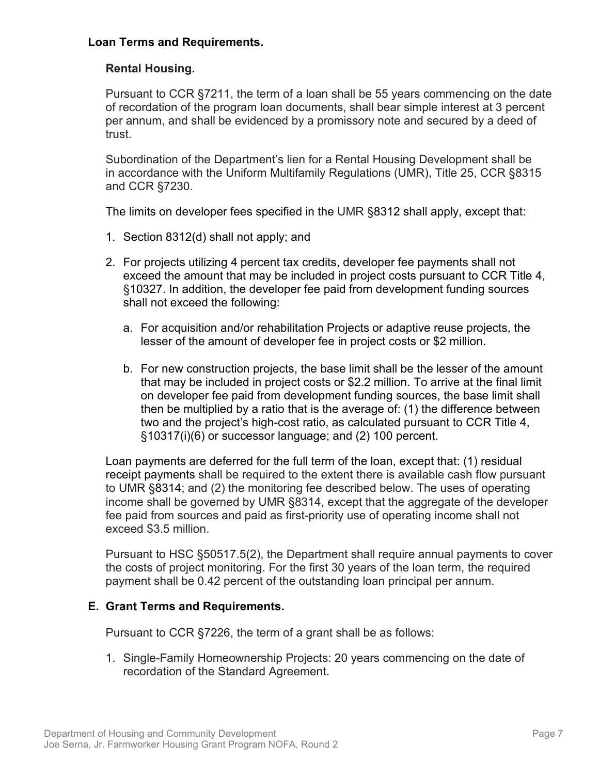# <span id="page-10-0"></span>**Loan Terms and Requirements.**

# **Rental Housing.**

Pursuant to CCR §7211, the term of a loan shall be 55 years commencing on the date of recordation of the program loan documents, shall bear simple interest at 3 percent per annum, and shall be evidenced by a promissory note and secured by a deed of trust.

Subordination of the Department's lien for a Rental Housing Development shall be in accordance with the Uniform Multifamily Regulations (UMR), Title 25, CCR §8315 and CCR §7230.

The limits on developer fees specified in the UMR §8312 shall apply, except that:

- 1. Section 8312(d) shall not apply; and
- 2. For projects utilizing 4 percent tax credits, developer fee payments shall not exceed the amount that may be included in project costs pursuant to CCR Title 4, §10327. In addition, the developer fee paid from development funding sources shall not exceed the following:
	- a. For acquisition and/or rehabilitation Projects or adaptive reuse projects, the lesser of the amount of developer fee in project costs or \$2 million.
	- b. For new construction projects, the base limit shall be the lesser of the amount that may be included in project costs or \$2.2 million. To arrive at the final limit on developer fee paid from development funding sources, the base limit shall then be multiplied by a ratio that is the average of: (1) the difference between two and the project's high-cost ratio, as calculated pursuant to CCR Title 4, §10317(i)(6) or successor language; and (2) 100 percent.

Loan payments are deferred for the full term of the loan, except that: (1) residual receipt payments shall be required to the extent there is available cash flow pursuant to UMR [§8314;](https://govt.westlaw.com/calregs/Document/I8B551560AF804D86AF1F6053C25E36A3?originationContext=Search+Result&listSource=Search&viewType=FullText&navigationPath=Search%2fv3%2fsearch%2fresults%2fnavigation%2fi0ad7140a0000016a12ba28c1c31c4242%3fstartIndex%3d1%26Nav%3dREGULATION_PUBLICVIEW%26contextData%3d(sc.Default)&rank=1&list=REGULATION_PUBLICVIEW&transitionType=SearchItem&contextData=(sc.Search)&t_T1=25&t_T2=8314&t_S1=CA+ADC+s) and (2) the monitoring fee described below. The uses of operating income shall be governed by UMR §8314, except that the aggregate of the developer fee paid from sources and paid as first-priority use of operating income shall not exceed \$3.5 million.

Pursuant to HSC §50517.5(2), the Department shall require annual payments to cover the costs of project monitoring. For the first 30 years of the loan term, the required payment shall be 0.42 percent of the outstanding loan principal per annum.

#### <span id="page-10-1"></span>**E. Grant Terms and Requirements.**

Pursuant to CCR §7226, the term of a grant shall be as follows:

1. Single-Family Homeownership Projects: 20 years commencing on the date of recordation of the Standard Agreement.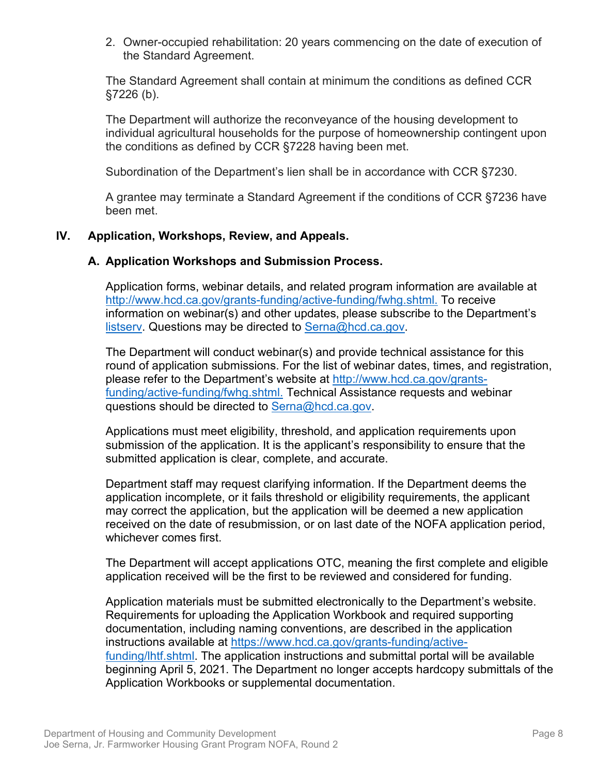2. Owner-occupied rehabilitation: 20 years commencing on the date of execution of the Standard Agreement.

The Standard Agreement shall contain at minimum the conditions as defined CCR §7226 (b).

The Department will authorize the reconveyance of the housing development to individual agricultural households for the purpose of homeownership contingent upon the conditions as defined by CCR §7228 having been met.

Subordination of the Department's lien shall be in accordance with CCR §7230.

A grantee may terminate a Standard Agreement if the conditions of CCR §7236 have been met.

#### <span id="page-11-0"></span>**IV. Application, Workshops, Review, and Appeals.**

#### <span id="page-11-1"></span>**A. Application Workshops and Submission Process.**

Application forms, webinar details, and related program information are available at [http://www.hcd.ca.gov/grants-funding/active-funding/fwhg.shtml.](http://www.hcd.ca.gov/grants-funding/active-funding/fwhg.shtml) To receive information on webinar(s) and other updates, please subscribe to the Department's listsery. Questions may be directed to [Serna@hcd.ca.gov.](mailto:Serna@hcd.ca.gov)

The Department will conduct webinar(s) and provide technical assistance for this round of application submissions. For the list of webinar dates, times, and registration, please refer to the Department's website at [http://www.hcd.ca.gov/grants](http://www.hcd.ca.gov/grants-funding/active-funding/fwhg.shtml)funding/active-funding/fwhg.shtml. Technical Assistance requests and webinar questions should be directed to [Serna@hcd.ca.gov.](mailto:Serna@hcd.ca.gov)

Applications must meet eligibility, threshold, and application requirements upon submission of the application. It is the applicant's responsibility to ensure that the submitted application is clear, complete, and accurate.

Department staff may request clarifying information. If the Department deems the application incomplete, or it fails threshold or eligibility requirements, the applicant may correct the application, but the application will be deemed a new application received on the date of resubmission, or on last date of the NOFA application period, whichever comes first.

The Department will accept applications OTC, meaning the first complete and eligible application received will be the first to be reviewed and considered for funding.

Application materials must be submitted electronically to the Department's website. Requirements for uploading the Application Workbook and required supporting documentation, including naming conventions, are described in the application instructions available at [https://www.hcd.ca.gov/grants-funding/active](https://www.hcd.ca.gov/grants-funding/active-funding/lhtf.shtml)funding/lhtf.shtml. The application instructions and submittal portal will be available beginning April 5, 2021. The Department no longer accepts hardcopy submittals of the Application Workbooks or supplemental documentation.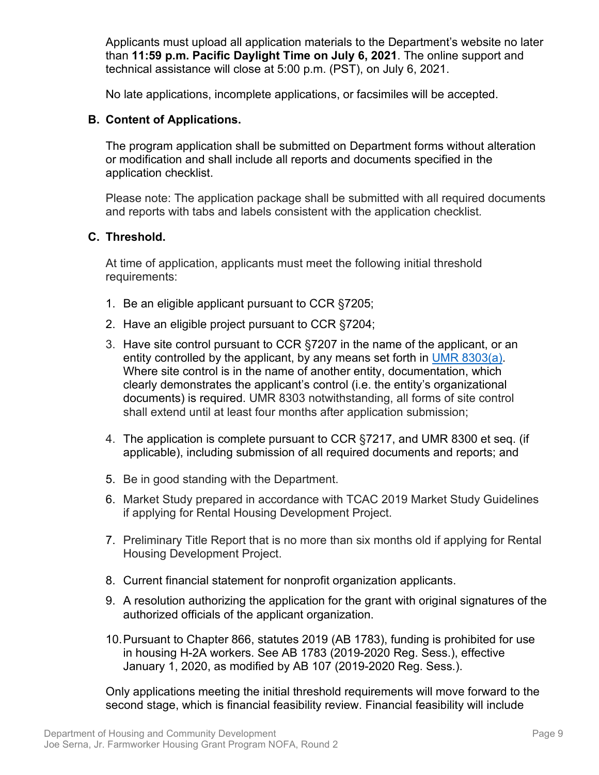Applicants must upload all application materials to the Department's website no later than **11:59 p.m. Pacific Daylight Time on July 6, 2021**. The online support and technical assistance will close at 5:00 p.m. (PST), on July 6, 2021.

No late applications, incomplete applications, or facsimiles will be accepted.

# <span id="page-12-0"></span>**B. Content of Applications.**

The program application shall be submitted on Department forms without alteration or modification and shall include all reports and documents specified in the application checklist.

Please note: The application package shall be submitted with all required documents and reports with tabs and labels consistent with the application checklist*.*

# <span id="page-12-1"></span>**C. Threshold.**

At time of application, applicants must meet the following initial threshold requirements:

- 1. Be an eligible applicant pursuant to CCR §7205;
- 2. Have an eligible project pursuant to CCR §7204;
- 3. Have site control pursuant to CCR §7207 in the name of the applicant, or an entity controlled by the applicant, by any means set forth in UMR 8303(a). Where site control is in the name of another entity, documentation, which clearly demonstrates the applicant's control (i.e. the entity's organizational documents) is required. UMR 8303 notwithstanding, all forms of site control shall extend until at least four months after application submission;
- 4. The application is complete pursuant to CCR §7217, and UMR 8300 et seq. (if applicable), including submission of all required documents and reports; and
- 5. Be in good standing with the Department.
- 6. Market Study prepared in accordance with TCAC 2019 Market Study Guidelines if applying for Rental Housing Development Project.
- 7. Preliminary Title Report that is no more than six months old if applying for Rental Housing Development Project.
- 8. Current financial statement for nonprofit organization applicants.
- 9. A resolution authorizing the application for the grant with original signatures of the authorized officials of the applicant organization.
- 10.Pursuant to Chapter 866, statutes 2019 (AB 1783), funding is prohibited for use in housing H-2A workers. See AB 1783 (2019-2020 Reg. Sess.), effective January 1, 2020, as modified by AB 107 (2019-2020 Reg. Sess.).

Only applications meeting the initial threshold requirements will move forward to the second stage, which is financial feasibility review. Financial feasibility will include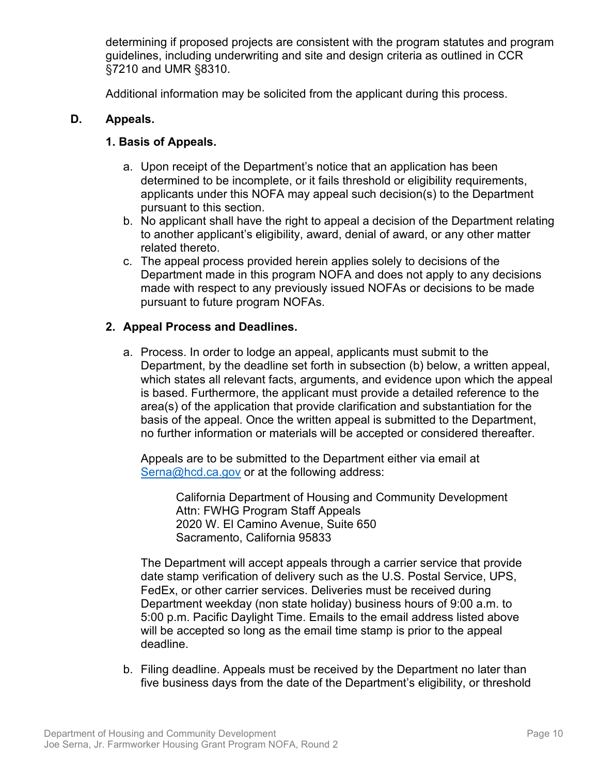determining if proposed projects are consistent with the program statutes and program guidelines, including underwriting and site and design criteria as outlined in CCR §7210 and UMR §8310.

Additional information may be solicited from the applicant during this process.

# <span id="page-13-0"></span>**D. Appeals.**

# **1. Basis of Appeals.**

- a. Upon receipt of the Department's notice that an application has been determined to be incomplete, or it fails threshold or eligibility requirements, applicants under this NOFA may appeal such decision(s) to the Department pursuant to this section.
- b. No applicant shall have the right to appeal a decision of the Department relating to another applicant's eligibility, award, denial of award, or any other matter related thereto.
- c. The appeal process provided herein applies solely to decisions of the Department made in this program NOFA and does not apply to any decisions made with respect to any previously issued NOFAs or decisions to be made pursuant to future program NOFAs.

# **2. Appeal Process and Deadlines.**

a. Process. In order to lodge an appeal, applicants must submit to the Department, by the deadline set forth in subsection (b) below, a written appeal, which states all relevant facts, arguments, and evidence upon which the appeal is based. Furthermore, the applicant must provide a detailed reference to the area(s) of the application that provide clarification and substantiation for the basis of the appeal. Once the written appeal is submitted to the Department, no further information or materials will be accepted or considered thereafter.

Appeals are to be submitted to the Department either via email at [Serna@hcd.ca.gov](mailto:Serna@hcd.ca.gov) or at the following address:

> California Department of Housing and Community Development Attn: FWHG Program Staff Appeals 2020 W. El Camino Avenue, Suite 650 Sacramento, California 95833

The Department will accept appeals through a carrier service that provide date stamp verification of delivery such as the U.S. Postal Service, UPS, FedEx, or other carrier services. Deliveries must be received during Department weekday (non state holiday) business hours of 9:00 a.m. to 5:00 p.m. Pacific Daylight Time. Emails to the email address listed above will be accepted so long as the email time stamp is prior to the appeal deadline.

b. Filing deadline. Appeals must be received by the Department no later than five business days from the date of the Department's eligibility, or threshold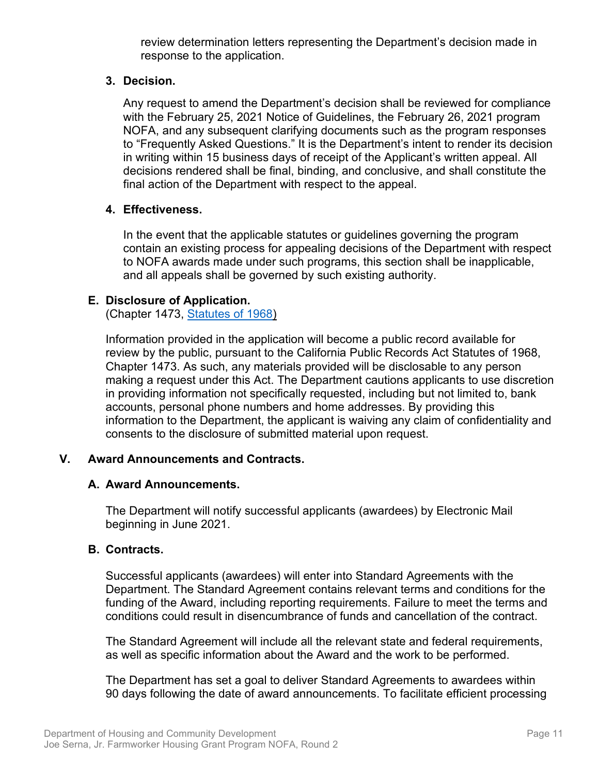review determination letters representing the Department's decision made in response to the application.

# **3. Decision.**

Any request to amend the Department's decision shall be reviewed for compliance with the February 25, 2021 Notice of Guidelines, the February 26, 2021 program NOFA, and any subsequent clarifying documents such as the program responses to "Frequently Asked Questions." It is the Department's intent to render its decision in writing within 15 business days of receipt of the Applicant's written appeal. All decisions rendered shall be final, binding, and conclusive, and shall constitute the final action of the Department with respect to the appeal.

# **4. Effectiveness.**

In the event that the applicable statutes or guidelines governing the program contain an existing process for appealing decisions of the Department with respect to NOFA awards made under such programs, this section shall be inapplicable, and all appeals shall be governed by such existing authority.

# <span id="page-14-0"></span>**E. Disclosure of Application.**

(Chapter 1473, [Statutes of 1968\)](https://leginfo.legislature.ca.gov/faces/codes_displayText.xhtml?division=7.&chapter=3.5.&lawCode=GOV&title=1.&article=1)

Information provided in the application will become a public record available for review by the public, pursuant to the California Public Records Act Statutes of 1968, Chapter 1473. As such, any materials provided will be disclosable to any person making a request under this Act. The Department cautions applicants to use discretion in providing information not specifically requested, including but not limited to, bank accounts, personal phone numbers and home addresses. By providing this information to the Department, the applicant is waiving any claim of confidentiality and consents to the disclosure of submitted material upon request.

#### <span id="page-14-1"></span>**V. Award Announcements and Contracts.**

#### <span id="page-14-2"></span>**A. Award Announcements.**

The Department will notify successful applicants (awardees) by Electronic Mail beginning in June 2021.

#### <span id="page-14-3"></span>**B. Contracts.**

Successful applicants (awardees) will enter into Standard Agreements with the Department. The Standard Agreement contains relevant terms and conditions for the funding of the Award, including reporting requirements. Failure to meet the terms and conditions could result in disencumbrance of funds and cancellation of the contract.

The Standard Agreement will include all the relevant state and federal requirements, as well as specific information about the Award and the work to be performed.

The Department has set a goal to deliver Standard Agreements to awardees within 90 days following the date of award announcements. To facilitate efficient processing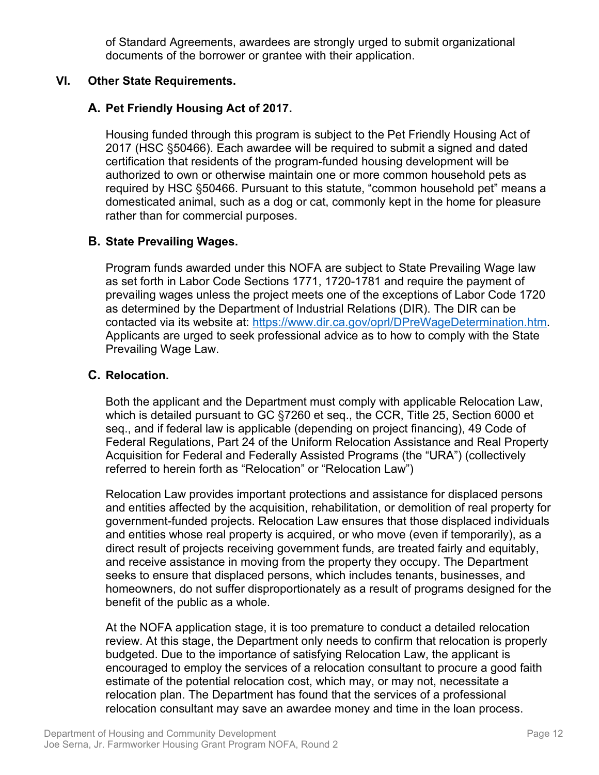of Standard Agreements, awardees are strongly urged to submit organizational documents of the borrower or grantee with their application.

# <span id="page-15-0"></span>**VI. Other State Requirements.**

# <span id="page-15-1"></span>**A. Pet Friendly Housing Act of 2017.**

Housing funded through this program is subject to the Pet Friendly Housing Act of 2017 (HSC §50466). Each awardee will be required to submit a signed and dated certification that residents of the program-funded housing development will be authorized to own or otherwise maintain one or more common household pets as required by HSC §50466. Pursuant to this statute, "common household pet" means a domesticated animal, such as a dog or cat, commonly kept in the home for pleasure rather than for commercial purposes.

# <span id="page-15-2"></span>**B. State Prevailing Wages.**

Program funds awarded under this NOFA are subject to State Prevailing Wage law as set forth in Labor Code Sections 1771, 1720-1781 and require the payment of prevailing wages unless the project meets one of the exceptions of Labor Code 1720 as determined by the Department of Industrial Relations (DIR). The DIR can be contacted via its website at: [https://www.dir.ca.gov/oprl/DPreWageDetermination.htm.](https://www.dir.ca.gov/oprl/DPreWageDetermination.htm) Applicants are urged to seek professional advice as to how to comply with the State Prevailing Wage Law.

#### <span id="page-15-3"></span>**C. Relocation.**

Both the applicant and the Department must comply with applicable Relocation Law, which is detailed pursuant to GC §7260 et seq., the CCR, Title 25, Section 6000 et seq., and if federal law is applicable (depending on project financing), 49 Code of Federal Regulations, Part 24 of the Uniform Relocation Assistance and Real Property Acquisition for Federal and Federally Assisted Programs (the "URA") (collectively referred to herein forth as "Relocation" or "Relocation Law")

Relocation Law provides important protections and assistance for displaced persons and entities affected by the acquisition, rehabilitation, or demolition of real property for government-funded projects. Relocation Law ensures that those displaced individuals and entities whose real property is acquired, or who move (even if temporarily), as a direct result of projects receiving government funds, are treated fairly and equitably, and receive assistance in moving from the property they occupy. The Department seeks to ensure that displaced persons, which includes tenants, businesses, and homeowners, do not suffer disproportionately as a result of programs designed for the benefit of the public as a whole.

At the NOFA application stage, it is too premature to conduct a detailed relocation review. At this stage, the Department only needs to confirm that relocation is properly budgeted. Due to the importance of satisfying Relocation Law, the applicant is encouraged to employ the services of a relocation consultant to procure a good faith estimate of the potential relocation cost, which may, or may not, necessitate a relocation plan. The Department has found that the services of a professional relocation consultant may save an awardee money and time in the loan process.